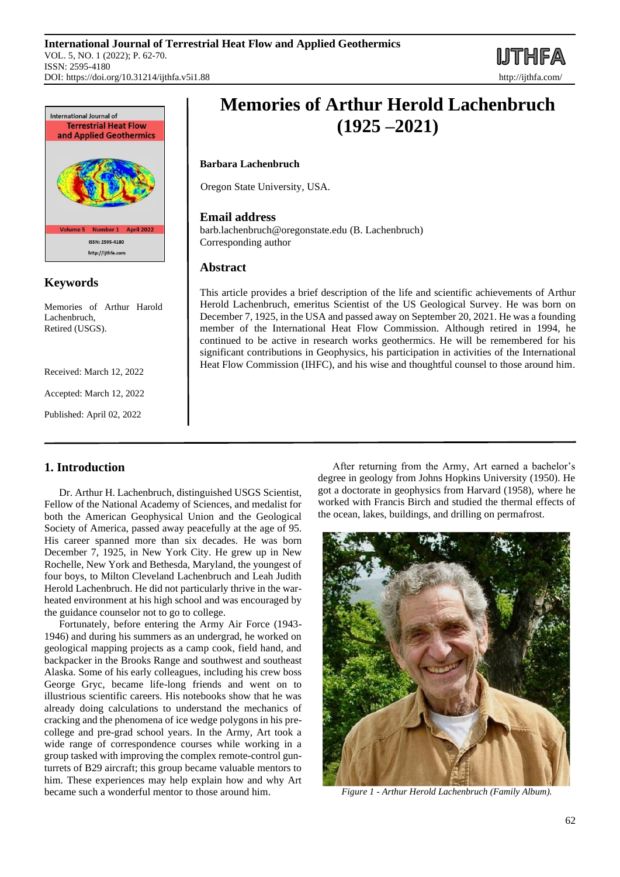



## **Keywords**

Memories of Arthur Harold Lachenbruch, Retired (USGS).

Received: March 12, 2022

Accepted: March 12, 2022

Published: April 02, 2022

# **1. Introduction**

Dr. Arthur H. Lachenbruch, distinguished USGS Scientist, Fellow of the National Academy of Sciences, and medalist for both the American Geophysical Union and the Geological Society of America, passed away peacefully at the age of 95. His career spanned more than six decades. He was born December 7, 1925, in New York City. He grew up in New Rochelle, New York and Bethesda, Maryland, the youngest of four boys, to Milton Cleveland Lachenbruch and Leah Judith Herold Lachenbruch. He did not particularly thrive in the warheated environment at his high school and was encouraged by the guidance counselor not to go to college.

Fortunately, before entering the Army Air Force (1943- 1946) and during his summers as an undergrad, he worked on geological mapping projects as a camp cook, field hand, and backpacker in the Brooks Range and southwest and southeast Alaska. Some of his early colleagues, including his crew boss George Gryc, became life-long friends and went on to illustrious scientific careers. His notebooks show that he was already doing calculations to understand the mechanics of cracking and the phenomena of ice wedge polygons in his precollege and pre-grad school years. In the Army, Art took a wide range of correspondence courses while working in a group tasked with improving the complex remote-control gunturrets of B29 aircraft; this group became valuable mentors to him. These experiences may help explain how and why Art became such a wonderful mentor to those around him.

**Memories of Arthur Herold Lachenbruch (1925 –2021)**

#### **Barbara Lachenbruch**

Oregon State University, USA.

## **Email address**

barb.lachenbruch@oregonstate.edu (B. Lachenbruch) Corresponding author

## **Abstract**

This article provides a brief description of the life and scientific achievements of Arthur Herold Lachenbruch, emeritus Scientist of the US Geological Survey. He was born on December 7, 1925, in the USA and passed away on September 20, 2021. He was a founding member of the International Heat Flow Commission. Although retired in 1994, he continued to be active in research works geothermics. He will be remembered for his significant contributions in Geophysics, his participation in activities of the International Heat Flow Commission (IHFC), and his wise and thoughtful counsel to those around him.

> After returning from the Army, Art earned a bachelor's degree in geology from Johns Hopkins University (1950). He got a doctorate in geophysics from Harvard (1958), where he worked with Francis Birch and studied the thermal effects of the ocean, lakes, buildings, and drilling on permafrost.



*Figure 1 - Arthur Herold Lachenbruch (Family Album).*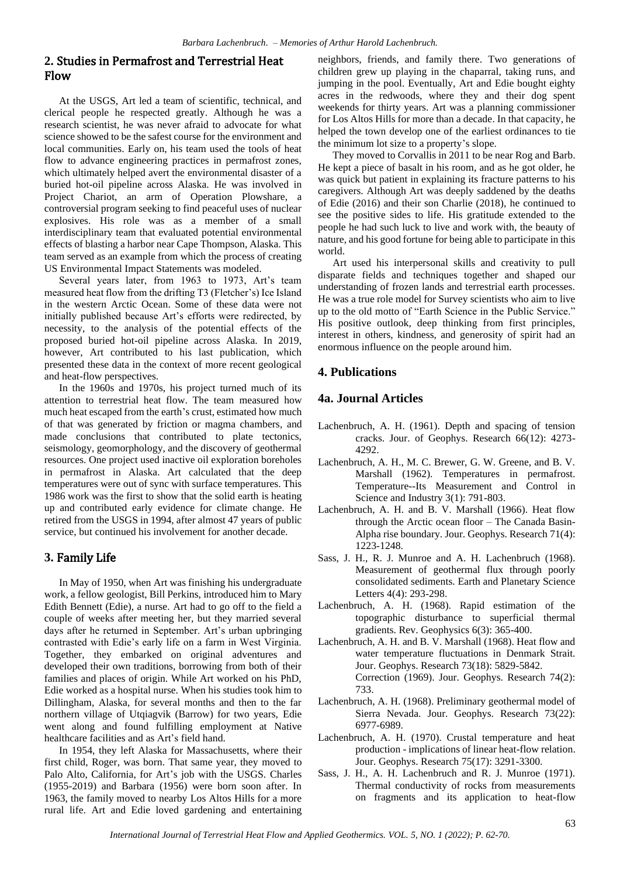### **2.** Studies in Permafrost and Terrestrial Heat Flow

At the USGS, Art led a team of scientific, technical, and clerical people he respected greatly. Although he was a research scientist, he was never afraid to advocate for what science showed to be the safest course for the environment and local communities. Early on, his team used the tools of heat flow to advance engineering practices in permafrost zones, which ultimately helped avert the environmental disaster of a buried hot-oil pipeline across Alaska. He was involved in Project Chariot, an arm of Operation Plowshare, a controversial program seeking to find peaceful uses of nuclear explosives. His role was as a member of a small interdisciplinary team that evaluated potential environmental effects of blasting a harbor near Cape Thompson, Alaska. This team served as an example from which the process of creating US Environmental Impact Statements was modeled.

Several years later, from 1963 to 1973, Art's team measured heat flow from the drifting T3 (Fletcher's) Ice Island in the western Arctic Ocean. Some of these data were not initially published because Art's efforts were redirected, by necessity, to the analysis of the potential effects of the proposed buried hot-oil pipeline across Alaska. In 2019, however, Art contributed to his last publication, which presented these data in the context of more recent geological and heat-flow perspectives.

In the 1960s and 1970s, his project turned much of its attention to terrestrial heat flow. The team measured how much heat escaped from the earth's crust, estimated how much of that was generated by friction or magma chambers, and made conclusions that contributed to plate tectonics, seismology, geomorphology, and the discovery of geothermal resources. One project used inactive oil exploration boreholes in permafrost in Alaska. Art calculated that the deep temperatures were out of sync with surface temperatures. This 1986 work was the first to show that the solid earth is heating up and contributed early evidence for climate change. He retired from the USGS in 1994, after almost 47 years of public service, but continued his involvement for another decade.

## **3.** Family Life

In May of 1950, when Art was finishing his undergraduate work, a fellow geologist, Bill Perkins, introduced him to Mary Edith Bennett (Edie), a nurse. Art had to go off to the field a couple of weeks after meeting her, but they married several days after he returned in September. Art's urban upbringing contrasted with Edie's early life on a farm in West Virginia. Together, they embarked on original adventures and developed their own traditions, borrowing from both of their families and places of origin. While Art worked on his PhD, Edie worked as a hospital nurse. When his studies took him to Dillingham, Alaska, for several months and then to the far northern village of Utqiagvik (Barrow) for two years, Edie went along and found fulfilling employment at Native healthcare facilities and as Art's field hand.

In 1954, they left Alaska for Massachusetts, where their first child, Roger, was born. That same year, they moved to Palo Alto, California, for Art's job with the USGS. Charles (1955-2019) and Barbara (1956) were born soon after. In 1963, the family moved to nearby Los Altos Hills for a more rural life. Art and Edie loved gardening and entertaining

neighbors, friends, and family there. Two generations of children grew up playing in the chaparral, taking runs, and jumping in the pool. Eventually, Art and Edie bought eighty acres in the redwoods, where they and their dog spent weekends for thirty years. Art was a planning commissioner for Los Altos Hills for more than a decade. In that capacity, he helped the town develop one of the earliest ordinances to tie the minimum lot size to a property's slope.

They moved to Corvallis in 2011 to be near Rog and Barb. He kept a piece of basalt in his room, and as he got older, he was quick but patient in explaining its fracture patterns to his caregivers. Although Art was deeply saddened by the deaths of Edie (2016) and their son Charlie (2018), he continued to see the positive sides to life. His gratitude extended to the people he had such luck to live and work with, the beauty of nature, and his good fortune for being able to participate in this world.

Art used his interpersonal skills and creativity to pull disparate fields and techniques together and shaped our understanding of frozen lands and terrestrial earth processes. He was a true role model for Survey scientists who aim to live up to the old motto of "Earth Science in the Public Service." His positive outlook, deep thinking from first principles, interest in others, kindness, and generosity of spirit had an enormous influence on the people around him.

## **4. Publications**

### **4a. Journal Articles**

- Lachenbruch, A. H. (1961). Depth and spacing of tension cracks. Jour. of Geophys. Research 66(12): 4273- 4292.
- Lachenbruch, A. H., M. C. Brewer, G. W. Greene, and B. V. Marshall (1962). Temperatures in permafrost. Temperature--Its Measurement and Control in Science and Industry 3(1): 791-803.
- Lachenbruch, A. H. and B. V. Marshall (1966). Heat flow through the Arctic ocean floor – The Canada Basin-Alpha rise boundary. Jour. Geophys. Research 71(4): 1223-1248.
- Sass, J. H., R. J. Munroe and A. H. Lachenbruch (1968). Measurement of geothermal flux through poorly consolidated sediments. Earth and Planetary Science Letters 4(4): 293-298.
- Lachenbruch, A. H. (1968). Rapid estimation of the topographic disturbance to superficial thermal gradients. Rev. Geophysics 6(3): 365-400.
- Lachenbruch, A. H. and B. V. Marshall (1968). Heat flow and water temperature fluctuations in Denmark Strait. Jour. Geophys. Research 73(18): 5829-5842. Correction (1969). Jour. Geophys. Research 74(2): 733.
- Lachenbruch, A. H. (1968). Preliminary geothermal model of Sierra Nevada. Jour. Geophys. Research 73(22): 6977-6989.
- Lachenbruch, A. H. (1970). Crustal temperature and heat production - implications of linear heat-flow relation. Jour. Geophys. Research 75(17): 3291-3300.
- Sass, J. H., A. H. Lachenbruch and R. J. Munroe (1971). Thermal conductivity of rocks from measurements on fragments and its application to heat-flow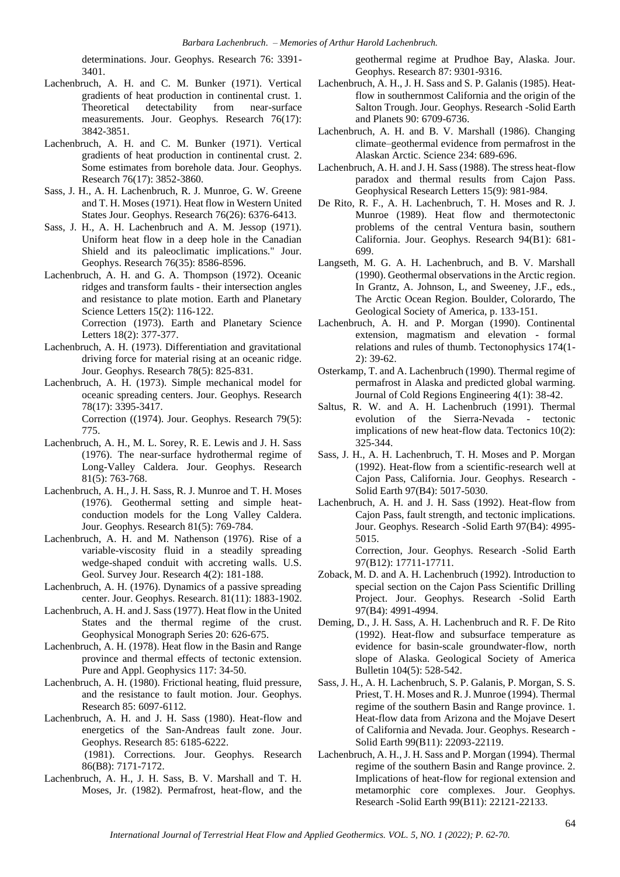determinations. Jour. Geophys. Research 76: 3391- 3401.

- Lachenbruch, A. H. and C. M. Bunker (1971). Vertical gradients of heat production in continental crust. 1. Theoretical detectability from near-surface measurements. Jour. Geophys. Research 76(17): 3842-3851.
- Lachenbruch, A. H. and C. M. Bunker (1971). Vertical gradients of heat production in continental crust. 2. Some estimates from borehole data. Jour. Geophys. Research 76(17): 3852-3860.
- Sass, J. H., A. H. Lachenbruch, R. J. Munroe, G. W. Greene and T. H. Moses (1971). Heat flow in Western United States Jour. Geophys. Research 76(26): 6376-6413.
- Sass, J. H., A. H. Lachenbruch and A. M. Jessop (1971). Uniform heat flow in a deep hole in the Canadian Shield and its paleoclimatic implications." Jour. Geophys. Research 76(35): 8586-8596.
- Lachenbruch, A. H. and G. A. Thompson (1972). Oceanic ridges and transform faults - their intersection angles and resistance to plate motion. Earth and Planetary Science Letters 15(2): 116-122. Correction (1973). Earth and Planetary Science Letters 18(2): 377-377.
- Lachenbruch, A. H. (1973). Differentiation and gravitational driving force for material rising at an oceanic ridge. Jour. Geophys. Research 78(5): 825-831.
- Lachenbruch, A. H. (1973). Simple mechanical model for oceanic spreading centers. Jour. Geophys. Research 78(17): 3395-3417. Correction ((1974). Jour. Geophys. Research 79(5): 775.
- Lachenbruch, A. H., M. L. Sorey, R. E. Lewis and J. H. Sass (1976). The near-surface hydrothermal regime of Long-Valley Caldera. Jour. Geophys. Research 81(5): 763-768.
- Lachenbruch, A. H., J. H. Sass, R. J. Munroe and T. H. Moses (1976). Geothermal setting and simple heatconduction models for the Long Valley Caldera. Jour. Geophys. Research 81(5): 769-784.
- Lachenbruch, A. H. and M. Nathenson (1976). Rise of a variable-viscosity fluid in a steadily spreading wedge-shaped conduit with accreting walls. U.S. Geol. Survey Jour. Research 4(2): 181-188.
- Lachenbruch, A. H. (1976). Dynamics of a passive spreading center. Jour. Geophys. Research. 81(11): 1883-1902.
- Lachenbruch, A. H. and J. Sass (1977). Heat flow in the United States and the thermal regime of the crust. Geophysical Monograph Series 20: 626-675.
- Lachenbruch, A. H. (1978). Heat flow in the Basin and Range province and thermal effects of tectonic extension. Pure and Appl. Geophysics 117: 34-50.
- Lachenbruch, A. H. (1980). Frictional heating, fluid pressure, and the resistance to fault motion. Jour. Geophys. Research 85: 6097-6112.
- Lachenbruch, A. H. and J. H. Sass (1980). Heat-flow and energetics of the San-Andreas fault zone. Jour. Geophys. Research 85: 6185-6222. (1981). Corrections. Jour. Geophys. Research 86(B8): 7171-7172.
- Lachenbruch, A. H., J. H. Sass, B. V. Marshall and T. H. Moses, Jr. (1982). Permafrost, heat-flow, and the

geothermal regime at Prudhoe Bay, Alaska. Jour. Geophys. Research 87: 9301-9316.

- Lachenbruch, A. H., J. H. Sass and S. P. Galanis (1985). Heatflow in southernmost California and the origin of the Salton Trough. Jour. Geophys. Research -Solid Earth and Planets 90: 6709-6736.
- Lachenbruch, A. H. and B. V. Marshall (1986). Changing climate–geothermal evidence from permafrost in the Alaskan Arctic. Science 234: 689-696.
- Lachenbruch, A. H. and J. H. Sass (1988). The stress heat-flow paradox and thermal results from Cajon Pass. Geophysical Research Letters 15(9): 981-984.
- De Rito, R. F., A. H. Lachenbruch, T. H. Moses and R. J. Munroe (1989). Heat flow and thermotectonic problems of the central Ventura basin, southern California. Jour. Geophys. Research 94(B1): 681- 699.
- Langseth, M. G. A. H. Lachenbruch, and B. V. Marshall (1990). Geothermal observations in the Arctic region. In Grantz, A. Johnson, L, and Sweeney, J.F., eds., The Arctic Ocean Region. Boulder, Colorardo, The Geological Society of America, p. 133-151.
- Lachenbruch, A. H. and P. Morgan (1990). Continental extension, magmatism and elevation - formal relations and rules of thumb. Tectonophysics 174(1- 2): 39-62.
- Osterkamp, T. and A. Lachenbruch (1990). Thermal regime of permafrost in Alaska and predicted global warming. Journal of Cold Regions Engineering 4(1): 38-42.
- Saltus, R. W. and A. H. Lachenbruch (1991). Thermal evolution of the Sierra-Nevada - tectonic implications of new heat-flow data. Tectonics 10(2): 325-344.
- Sass, J. H., A. H. Lachenbruch, T. H. Moses and P. Morgan (1992). Heat-flow from a scientific-research well at Cajon Pass, California. Jour. Geophys. Research - Solid Earth 97(B4): 5017-5030.
- Lachenbruch, A. H. and J. H. Sass (1992). Heat-flow from Cajon Pass, fault strength, and tectonic implications. Jour. Geophys. Research -Solid Earth 97(B4): 4995- 5015. Correction, Jour. Geophys. Research -Solid Earth

97(B12): 17711-17711.

- Zoback, M. D. and A. H. Lachenbruch (1992). Introduction to special section on the Cajon Pass Scientific Drilling Project. Jour. Geophys. Research -Solid Earth 97(B4): 4991-4994.
- Deming, D., J. H. Sass, A. H. Lachenbruch and R. F. De Rito (1992). Heat-flow and subsurface temperature as evidence for basin-scale groundwater-flow, north slope of Alaska. Geological Society of America Bulletin 104(5): 528-542.
- Sass, J. H., A. H. Lachenbruch, S. P. Galanis, P. Morgan, S. S. Priest, T. H. Moses and R. J. Munroe (1994). Thermal regime of the southern Basin and Range province. 1. Heat-flow data from Arizona and the Mojave Desert of California and Nevada. Jour. Geophys. Research - Solid Earth 99(B11): 22093-22119.
- Lachenbruch, A. H., J. H. Sass and P. Morgan (1994). Thermal regime of the southern Basin and Range province. 2. Implications of heat-flow for regional extension and metamorphic core complexes. Jour. Geophys. Research -Solid Earth 99(B11): 22121-22133.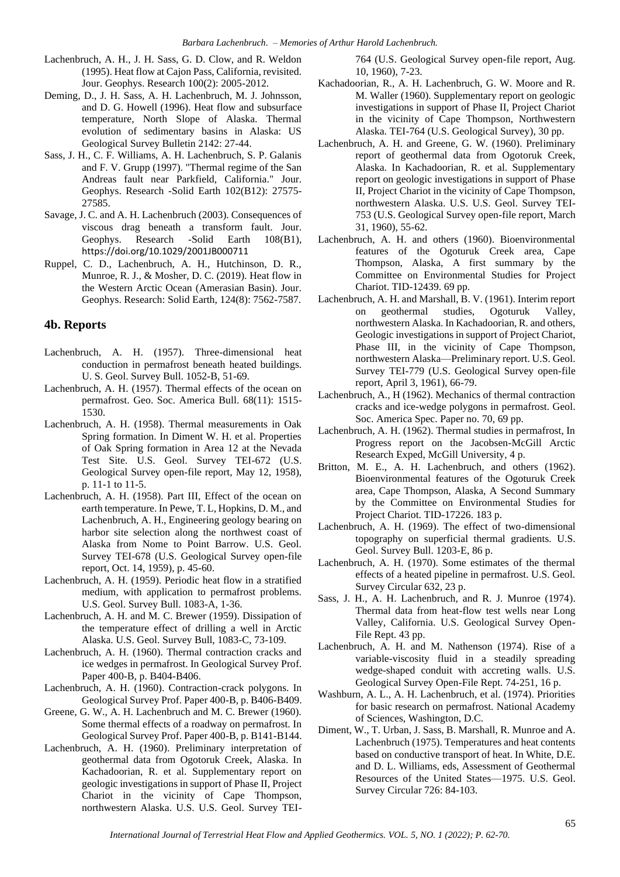- Lachenbruch, A. H., J. H. Sass, G. D. Clow, and R. Weldon (1995). Heat flow at Cajon Pass, California, revisited. Jour. Geophys. Research 100(2): 2005-2012.
- Deming, D., J. H. Sass, A. H. Lachenbruch, M. J. Johnsson, and D. G. Howell (1996). Heat flow and subsurface temperature, North Slope of Alaska. Thermal evolution of sedimentary basins in Alaska: US Geological Survey Bulletin 2142: 27-44.
- Sass, J. H., C. F. Williams, A. H. Lachenbruch, S. P. Galanis and F. V. Grupp (1997). "Thermal regime of the San Andreas fault near Parkfield, California." Jour. Geophys. Research -Solid Earth 102(B12): 27575- 27585.
- Savage, J. C. and A. H. Lachenbruch (2003). Consequences of viscous drag beneath a transform fault. Jour. Geophys. Research -Solid Earth 108(B1), <https://doi.org/10.1029/2001JB000711>
- Ruppel, C. D., Lachenbruch, A. H., Hutchinson, D. R., Munroe, R. J., & Mosher, D. C. (2019). Heat flow in the Western Arctic Ocean (Amerasian Basin). Jour. Geophys. Research: Solid Earth, 124(8): 7562-7587.

### **4b. Reports**

- Lachenbruch, A. H. (1957). Three-dimensional heat conduction in permafrost beneath heated buildings. U. S. Geol. Survey Bull. 1052-B, 51-69.
- Lachenbruch, A. H. (1957). Thermal effects of the ocean on permafrost. Geo. Soc. America Bull. 68(11): 1515- 1530.
- Lachenbruch, A. H. (1958). Thermal measurements in Oak Spring formation. In Diment W. H. et al. Properties of Oak Spring formation in Area 12 at the Nevada Test Site. U.S. Geol. Survey TEI-672 (U.S. Geological Survey open-file report, May 12, 1958), p. 11-1 to 11-5.
- Lachenbruch, A. H. (1958). Part III, Effect of the ocean on earth temperature. In Pewe, T. L, Hopkins, D. M., and Lachenbruch, A. H., Engineering geology bearing on harbor site selection along the northwest coast of Alaska from Nome to Point Barrow. U.S. Geol. Survey TEI-678 (U.S. Geological Survey open-file report, Oct. 14, 1959), p. 45-60.
- Lachenbruch, A. H. (1959). Periodic heat flow in a stratified medium, with application to permafrost problems. U.S. Geol. Survey Bull. 1083-A, 1-36.
- Lachenbruch, A. H. and M. C. Brewer (1959). Dissipation of the temperature effect of drilling a well in Arctic Alaska. U.S. Geol. Survey Bull, 1083-C, 73-109.
- Lachenbruch, A. H. (1960). Thermal contraction cracks and ice wedges in permafrost. In Geological Survey Prof. Paper 400-B, p. B404-B406.
- Lachenbruch, A. H. (1960). Contraction-crack polygons. In Geological Survey Prof. Paper 400-B, p. B406-B409.
- Greene, G. W., A. H. Lachenbruch and M. C. Brewer (1960). Some thermal effects of a roadway on permafrost. In Geological Survey Prof. Paper 400-B, p. B141-B144.
- Lachenbruch, A. H. (1960). Preliminary interpretation of geothermal data from Ogotoruk Creek, Alaska. In Kachadoorian, R. et al. Supplementary report on geologic investigations in support of Phase II, Project Chariot in the vicinity of Cape Thompson, northwestern Alaska. U.S. U.S. Geol. Survey TEI-

764 (U.S. Geological Survey open-file report, Aug. 10, 1960), 7-23.

- Kachadoorian, R., A. H. Lachenbruch, G. W. Moore and R. M. Waller (1960). Supplementary report on geologic investigations in support of Phase II, Project Chariot in the vicinity of Cape Thompson, Northwestern Alaska. TEI-764 (U.S. Geological Survey), 30 pp.
- Lachenbruch, A. H. and Greene, G. W. (1960). Preliminary report of geothermal data from Ogotoruk Creek, Alaska. In Kachadoorian, R. et al. Supplementary report on geologic investigations in support of Phase II, Project Chariot in the vicinity of Cape Thompson, northwestern Alaska. U.S. U.S. Geol. Survey TEI-753 (U.S. Geological Survey open-file report, March 31, 1960), 55-62.
- Lachenbruch, A. H. and others (1960). Bioenvironmental features of the Ogoturuk Creek area, Cape Thompson, Alaska, A first summary by the Committee on Environmental Studies for Project Chariot. TID-12439. 69 pp.
- Lachenbruch, A. H. and Marshall, B. V. (1961). Interim report on geothermal studies, Ogoturuk Valley, northwestern Alaska. In Kachadoorian, R. and others, Geologic investigations in support of Project Chariot, Phase III, in the vicinity of Cape Thompson, northwestern Alaska—Preliminary report. U.S. Geol. Survey TEI-779 (U.S. Geological Survey open-file report, April 3, 1961), 66-79.
- Lachenbruch, A., H (1962). Mechanics of thermal contraction cracks and ice-wedge polygons in permafrost. Geol. Soc. America Spec. Paper no. 70, 69 pp.
- Lachenbruch, A. H. (1962). Thermal studies in permafrost, In Progress report on the Jacobsen-McGill Arctic Research Exped, McGill University, 4 p.
- Britton, M. E., A. H. Lachenbruch, and others (1962). Bioenvironmental features of the Ogoturuk Creek area, Cape Thompson, Alaska, A Second Summary by the Committee on Environmental Studies for Project Chariot. TID-17226. 183 p.
- Lachenbruch, A. H. (1969). The effect of two-dimensional topography on superficial thermal gradients. U.S. Geol. Survey Bull. 1203-E, 86 p.
- Lachenbruch, A. H. (1970). Some estimates of the thermal effects of a heated pipeline in permafrost. U.S. Geol. Survey Circular 632, 23 p.
- Sass, J. H., A. H. Lachenbruch, and R. J. Munroe (1974). Thermal data from heat-flow test wells near Long Valley, California. U.S. Geological Survey Open-File Rept. 43 pp.
- Lachenbruch, A. H. and M. Nathenson (1974). Rise of a variable-viscosity fluid in a steadily spreading wedge-shaped conduit with accreting walls. U.S. Geological Survey Open-File Rept. 74-251, 16 p.
- Washburn, A. L., A. H. Lachenbruch, et al. (1974). Priorities for basic research on permafrost. National Academy of Sciences, Washington, D.C.
- Diment, W., T. Urban, J. Sass, B. Marshall, R. Munroe and A. Lachenbruch (1975). Temperatures and heat contents based on conductive transport of heat. In White, D.E. and D. L. Williams, eds, Assessment of Geothermal Resources of the United States—1975. U.S. Geol. Survey Circular 726: 84-103.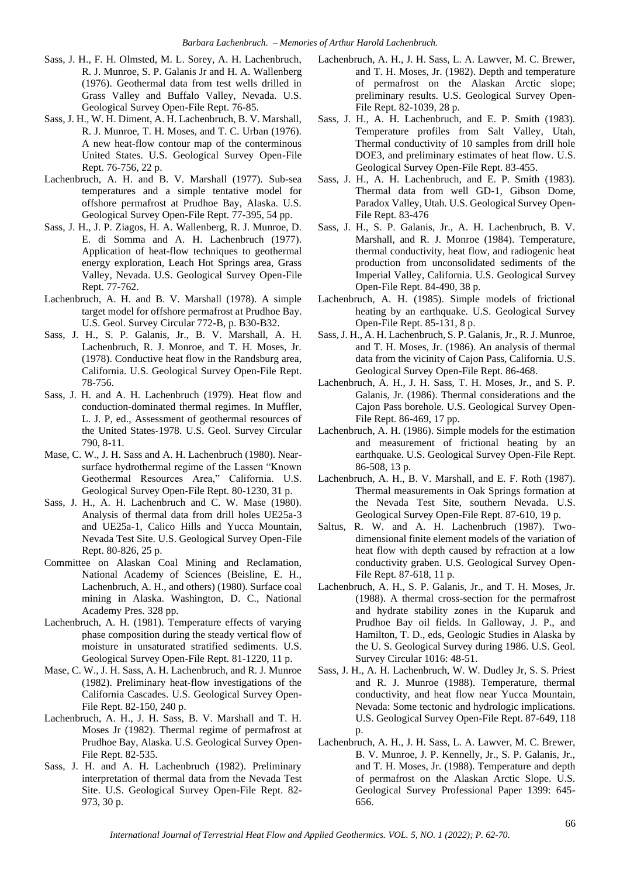- Sass, J. H., F. H. Olmsted, M. L. Sorey, A. H. Lachenbruch, R. J. Munroe, S. P. Galanis Jr and H. A. Wallenberg (1976). Geothermal data from test wells drilled in Grass Valley and Buffalo Valley, Nevada. U.S. Geological Survey Open-File Rept. 76-85.
- Sass, J. H., W. H. Diment, A. H. Lachenbruch, B. V. Marshall, R. J. Munroe, T. H. Moses, and T. C. Urban (1976). A new heat-flow contour map of the conterminous United States. U.S. Geological Survey Open-File Rept. 76-756, 22 p.
- Lachenbruch, A. H. and B. V. Marshall (1977). Sub-sea temperatures and a simple tentative model for offshore permafrost at Prudhoe Bay, Alaska. U.S. Geological Survey Open-File Rept. 77-395, 54 pp.
- Sass, J. H., J. P. Ziagos, H. A. Wallenberg, R. J. Munroe, D. E. di Somma and A. H. Lachenbruch (1977). Application of heat-flow techniques to geothermal energy exploration, Leach Hot Springs area, Grass Valley, Nevada. U.S. Geological Survey Open-File Rept. 77-762.
- Lachenbruch, A. H. and B. V. Marshall (1978). A simple target model for offshore permafrost at Prudhoe Bay. U.S. Geol. Survey Circular 772-B, p. B30-B32.
- Sass, J. H., S. P. Galanis, Jr., B. V. Marshall, A. H. Lachenbruch, R. J. Monroe, and T. H. Moses, Jr. (1978). Conductive heat flow in the Randsburg area, California. U.S. Geological Survey Open-File Rept. 78-756.
- Sass, J. H. and A. H. Lachenbruch (1979). Heat flow and conduction-dominated thermal regimes. In Muffler, L. J. P, ed., Assessment of geothermal resources of the United States-1978. U.S. Geol. Survey Circular 790, 8-11.
- Mase, C. W., J. H. Sass and A. H. Lachenbruch (1980). Nearsurface hydrothermal regime of the Lassen "Known Geothermal Resources Area," California. U.S. Geological Survey Open-File Rept. 80-1230, 31 p.
- Sass, J. H., A. H. Lachenbruch and C. W. Mase (1980). Analysis of thermal data from drill holes UE25a-3 and UE25a-1, Calico Hills and Yucca Mountain, Nevada Test Site. U.S. Geological Survey Open-File Rept. 80-826, 25 p.
- Committee on Alaskan Coal Mining and Reclamation, National Academy of Sciences (Beisline, E. H., Lachenbruch, A. H., and others) (1980). Surface coal mining in Alaska. Washington, D. C., National Academy Pres. 328 pp.
- Lachenbruch, A. H. (1981). Temperature effects of varying phase composition during the steady vertical flow of moisture in unsaturated stratified sediments. U.S. Geological Survey Open-File Rept. 81-1220, 11 p.
- Mase, C. W., J. H. Sass, A. H. Lachenbruch, and R. J. Munroe (1982). Preliminary heat-flow investigations of the California Cascades. U.S. Geological Survey Open-File Rept. 82-150, 240 p.
- Lachenbruch, A. H., J. H. Sass, B. V. Marshall and T. H. Moses Jr (1982). Thermal regime of permafrost at Prudhoe Bay, Alaska. U.S. Geological Survey Open-File Rept. 82-535.
- Sass, J. H. and A. H. Lachenbruch (1982). Preliminary interpretation of thermal data from the Nevada Test Site. U.S. Geological Survey Open-File Rept. 82- 973, 30 p.
- Lachenbruch, A. H., J. H. Sass, L. A. Lawver, M. C. Brewer, and T. H. Moses, Jr. (1982). Depth and temperature of permafrost on the Alaskan Arctic slope; preliminary results. U.S. Geological Survey Open-File Rept. 82-1039, 28 p.
- Sass, J. H., A. H. Lachenbruch, and E. P. Smith (1983). Temperature profiles from Salt Valley, Utah, Thermal conductivity of 10 samples from drill hole DOE3, and preliminary estimates of heat flow. U.S. Geological Survey Open-File Rept. 83-455.
- Sass, J. H., A. H. Lachenbruch, and E. P. Smith (1983). Thermal data from well GD-1, Gibson Dome, Paradox Valley, Utah. U.S. Geological Survey Open-File Rept. 83-476
- Sass, J. H., S. P. Galanis, Jr., A. H. Lachenbruch, B. V. Marshall, and R. J. Monroe (1984). Temperature, thermal conductivity, heat flow, and radiogenic heat production from unconsolidated sediments of the Imperial Valley, California. U.S. Geological Survey Open-File Rept. 84-490, 38 p.
- Lachenbruch, A. H. (1985). Simple models of frictional heating by an earthquake. U.S. Geological Survey Open-File Rept. 85-131, 8 p.
- Sass, J. H., A. H. Lachenbruch, S. P. Galanis, Jr., R. J. Munroe, and T. H. Moses, Jr. (1986). An analysis of thermal data from the vicinity of Cajon Pass, California. U.S. Geological Survey Open-File Rept. 86-468.
- Lachenbruch, A. H., J. H. Sass, T. H. Moses, Jr., and S. P. Galanis, Jr. (1986). Thermal considerations and the Cajon Pass borehole. U.S. Geological Survey Open-File Rept. 86-469, 17 pp.
- Lachenbruch, A. H. (1986). Simple models for the estimation and measurement of frictional heating by an earthquake. U.S. Geological Survey Open-File Rept. 86-508, 13 p.
- Lachenbruch, A. H., B. V. Marshall, and E. F. Roth (1987). Thermal measurements in Oak Springs formation at the Nevada Test Site, southern Nevada. U.S. Geological Survey Open-File Rept. 87-610, 19 p.
- Saltus, R. W. and A. H. Lachenbruch (1987). Twodimensional finite element models of the variation of heat flow with depth caused by refraction at a low conductivity graben. U.S. Geological Survey Open-File Rept. 87-618, 11 p.
- Lachenbruch, A. H., S. P. Galanis, Jr., and T. H. Moses, Jr. (1988). A thermal cross-section for the permafrost and hydrate stability zones in the Kuparuk and Prudhoe Bay oil fields. In Galloway, J. P., and Hamilton, T. D., eds, Geologic Studies in Alaska by the U. S. Geological Survey during 1986. U.S. Geol. Survey Circular 1016: 48-51.
- Sass, J. H., A. H. Lachenbruch, W. W. Dudley Jr, S. S. Priest and R. J. Munroe (1988). Temperature, thermal conductivity, and heat flow near Yucca Mountain, Nevada: Some tectonic and hydrologic implications. U.S. Geological Survey Open-File Rept. 87-649, 118 p.
- Lachenbruch, A. H., J. H. Sass, L. A. Lawver, M. C. Brewer, B. V. Munroe, J. P. Kennelly, Jr., S. P. Galanis, Jr., and T. H. Moses, Jr. (1988). Temperature and depth of permafrost on the Alaskan Arctic Slope. U.S. Geological Survey Professional Paper 1399: 645- 656.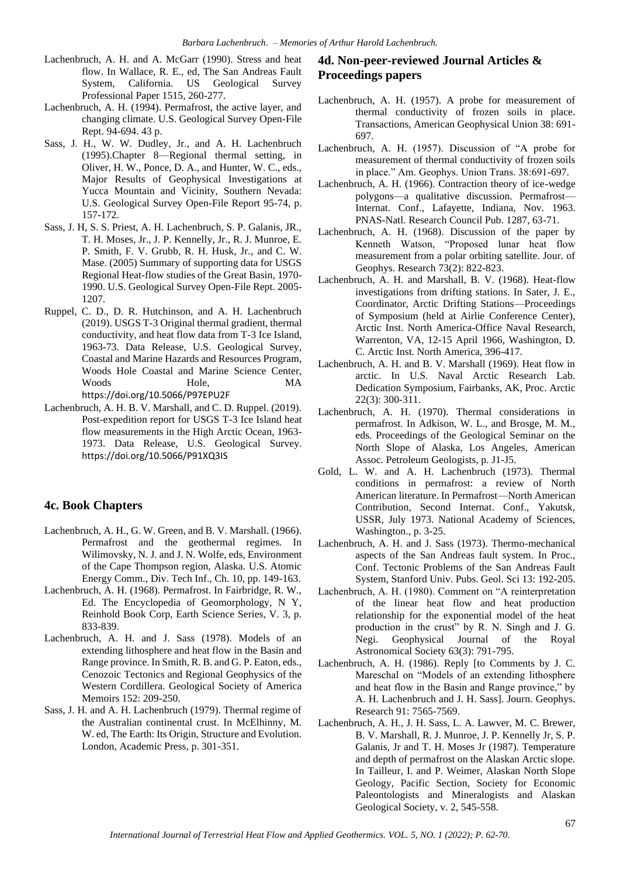- Lachenbruch, A. H. and A. McGarr (1990). Stress and heat flow. In Wallace, R. E., ed, The San Andreas Fault System, California. US Geological Survey Professional Paper 1515, 260-277.
- Lachenbruch, A. H. (1994). Permafrost, the active layer, and changing climate. U.S. Geological Survey Open-File Rept. 94-694. 43 p.
- Sass, J. H., W. W. Dudley, Jr., and A. H. Lachenbruch (1995).Chapter 8—Regional thermal setting, in Oliver, H. W., Ponce, D. A., and Hunter, W. C., eds., Major Results of Geophysical Investigations at Yucca Mountain and Vicinity, Southern Nevada: U.S. Geological Survey Open-File Report 95-74, p. 157-172.
- Sass, J. H, S. S. Priest, A. H. Lachenbruch, S. P. Galanis, JR., T. H. Moses, Jr., J. P. Kennelly, Jr., R. J. Munroe, E. P. Smith, F. V. Grubb, R. H. Husk, Jr., and C. W. Mase. (2005) Summary of supporting data for USGS Regional Heat-flow studies of the Great Basin, 1970- 1990. U.S. Geological Survey Open-File Rept. 2005- 1207.
- Ruppel, C. D., D. R. Hutchinson, and A. H. Lachenbruch (2019). USGS T-3 Original thermal gradient, thermal conductivity, and heat flow data from T-3 Ice Island, 1963-73. Data Release, U.S. Geological Survey, Coastal and Marine Hazards and Resources Program, Woods Hole Coastal and Marine Science Center, Woods Hole, MA <https://doi.org/10.5066/P97EPU2F>
- Lachenbruch, A. H. B. V. Marshall, and C. D. Ruppel. (2019). Post-expedition report for USGS T-3 Ice Island heat flow measurements in the High Arctic Ocean, 1963- 1973. Data Release, U.S. Geological Survey. <https://doi.org/10.5066/P91XQ3IS>

## **4c. Book Chapters**

- Lachenbruch, A. H., G. W. Green, and B. V. Marshall. (1966). Permafrost and the geothermal regimes. In Wilimovsky, N. J. and J. N. Wolfe, eds, Environment of the Cape Thompson region, Alaska. U.S. Atomic Energy Comm., Div. Tech Inf., Ch. 10, pp. 149-163.
- Lachenbruch, A. H. (1968). Permafrost. In Fairbridge, R. W., Ed. The Encyclopedia of Geomorphology, N Y, Reinhold Book Corp, Earth Science Series, V. 3, p. 833-839.
- Lachenbruch, A. H. and J. Sass (1978). Models of an extending lithosphere and heat flow in the Basin and Range province. In Smith, R. B. and G. P. Eaton, eds., Cenozoic Tectonics and Regional Geophysics of the Western Cordillera. Geological Society of America Memoirs 152: 209-250.
- Sass, J. H. and A. H. Lachenbruch (1979). Thermal regime of the Australian continental crust. In McElhinny, M. W. ed, The Earth: Its Origin, Structure and Evolution. London, Academic Press, p. 301-351.

## **4d. Non-peer-reviewed Journal Articles & Proceedings papers**

- Lachenbruch, A. H. (1957). A probe for measurement of thermal conductivity of frozen soils in place. Transactions, American Geophysical Union 38: 691- 697.
- Lachenbruch, A. H. (1957). Discussion of "A probe for measurement of thermal conductivity of frozen soils in place." Am. Geophys. Union Trans. 38:691-697.
- Lachenbruch, A. H. (1966). Contraction theory of ice-wedge polygons—a qualitative discussion. Permafrost— Internat. Conf., Lafayette, Indiana, Nov. 1963. PNAS-Natl. Research Council Pub. 1287, 63-71.
- Lachenbruch, A. H. (1968). Discussion of the paper by Kenneth Watson, "Proposed lunar heat flow measurement from a polar orbiting satellite. Jour. of Geophys. Research 73(2): 822-823.
- Lachenbruch, A. H. and Marshall, B. V. (1968). Heat-flow investigations from drifting stations. In Sater, J. E., Coordinator, Arctic Drifting Stations—Proceedings of Symposium (held at Airlie Conference Center), Arctic Inst. North America-Office Naval Research, Warrenton, VA, 12-15 April 1966, Washington, D. C. Arctic Inst. North America, 396-417.
- Lachenbruch, A. H. and B. V. Marshall (1969). Heat flow in arctic. In U.S. Naval Arctic Research Lab. Dedication Symposium, Fairbanks, AK, Proc. Arctic 22(3): 300-311.
- Lachenbruch, A. H. (1970). Thermal considerations in permafrost. In Adkison, W. L., and Brosge, M. M., eds. Proceedings of the Geological Seminar on the North Slope of Alaska, Los Angeles, American Assoc. Petroleum Geologists, p. J1-J5.
- Gold, L. W. and A. H. Lachenbruch (1973). Thermal conditions in permafrost: a review of North American literature. In Permafrost—North American Contribution, Second Internat. Conf., Yakutsk, USSR, July 1973. National Academy of Sciences, Washington., p. 3-25.
- Lachenbruch, A. H. and J. Sass (1973). Thermo-mechanical aspects of the San Andreas fault system. In Proc., Conf. Tectonic Problems of the San Andreas Fault System, Stanford Univ. Pubs. Geol. Sci 13: 192-205.
- Lachenbruch, A. H. (1980). Comment on "A reinterpretation of the linear heat flow and heat production relationship for the exponential model of the heat production in the crust" by R. N. Singh and J. G. Negi. Geophysical Journal of the Royal Astronomical Society 63(3): 791-795.
- Lachenbruch, A. H. (1986). Reply [to Comments by J. C. Mareschal on "Models of an extending lithosphere and heat flow in the Basin and Range province," by A. H. Lachenbruch and J. H. Sass]. Journ. Geophys. Research 91: 7565-7569.
- Lachenbruch, A. H., J. H. Sass, L. A. Lawver, M. C. Brewer, B. V. Marshall, R. J. Munroe, J. P. Kennelly Jr, S. P. Galanis, Jr and T. H. Moses Jr (1987). Temperature and depth of permafrost on the Alaskan Arctic slope. In Tailleur, I. and P. Weimer, Alaskan North Slope Geology, Pacific Section, Society for Economic Paleontologists and Mineralogists and Alaskan Geological Society, v. 2, 545-558.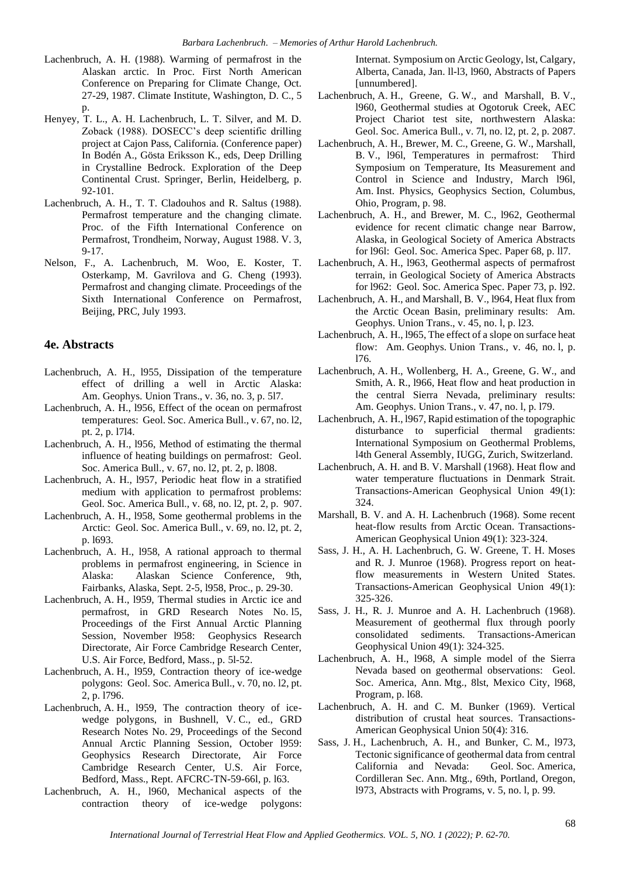- Lachenbruch, A. H. (1988). Warming of permafrost in the Alaskan arctic. In Proc. First North American Conference on Preparing for Climate Change, Oct. 27-29, 1987. Climate Institute, Washington, D. C., 5 p.
- Henyey, T. L., A. H. Lachenbruch, L. T. Silver, and M. D. Zoback (1988). DOSECC's deep scientific drilling project at Cajon Pass, California. (Conference paper) In Bodén A., Gösta Eriksson K., eds, Deep Drilling in Crystalline Bedrock. Exploration of the Deep Continental Crust. Springer, Berlin, Heidelberg, p. 92-101.
- Lachenbruch, A. H., T. T. Cladouhos and R. Saltus (1988). Permafrost temperature and the changing climate. Proc. of the Fifth International Conference on Permafrost, Trondheim, Norway, August 1988. V. 3, 9-17.
- Nelson, F., A. Lachenbruch, M. Woo, E. Koster, T. Osterkamp, M. Gavrilova and G. Cheng (1993). Permafrost and changing climate. Proceedings of the Sixth International Conference on Permafrost, Beijing, PRC, July 1993.

#### **4e. Abstracts**

- Lachenbruch, A. H., l955, Dissipation of the temperature effect of drilling a well in Arctic Alaska: Am. Geophys. Union Trans., v. 36, no. 3, p. 5l7.
- Lachenbruch, A. H., l956, Effect of the ocean on permafrost temperatures: Geol. Soc. America Bull., v. 67, no. l2, pt. 2, p. l7l4.
- Lachenbruch, A. H., l956, Method of estimating the thermal influence of heating buildings on permafrost: Geol. Soc. America Bull., v. 67, no. l2, pt. 2, p. l808.
- Lachenbruch, A. H., l957, Periodic heat flow in a stratified medium with application to permafrost problems: Geol. Soc. America Bull., v. 68, no. l2, pt. 2, p. 907.
- Lachenbruch, A. H., l958, Some geothermal problems in the Arctic: Geol. Soc. America Bull., v. 69, no. l2, pt. 2, p. l693.
- Lachenbruch, A. H., l958, A rational approach to thermal problems in permafrost engineering, in Science in Alaska: Alaskan Science Conference, 9th, Fairbanks, Alaska, Sept. 2-5, l958, Proc., p. 29-30.
- Lachenbruch, A. H., l959, Thermal studies in Arctic ice and permafrost, in GRD Research Notes No. l5, Proceedings of the First Annual Arctic Planning Session, November l958: Geophysics Research Directorate, Air Force Cambridge Research Center, U.S. Air Force, Bedford, Mass., p. 5l-52.
- Lachenbruch, A. H., l959, Contraction theory of ice-wedge polygons: Geol. Soc. America Bull., v. 70, no. l2, pt. 2, p. l796.
- Lachenbruch, A. H., l959, The contraction theory of icewedge polygons, in Bushnell, V. C., ed., GRD Research Notes No. 29, Proceedings of the Second Annual Arctic Planning Session, October l959: Geophysics Research Directorate, Air Force Cambridge Research Center, U.S. Air Force, Bedford, Mass., Rept. AFCRC-TN-59-66l, p. l63.
- Lachenbruch, A. H., l960, Mechanical aspects of the contraction theory of ice-wedge polygons:

Internat. Symposium on Arctic Geology, lst, Calgary, Alberta, Canada, Jan. ll-l3, l960, Abstracts of Papers [unnumbered].

- Lachenbruch, A. H., Greene, G. W., and Marshall, B. V., l960, Geothermal studies at Ogotoruk Creek, AEC Project Chariot test site, northwestern Alaska: Geol. Soc. America Bull., v. 7l, no. l2, pt. 2, p. 2087.
- Lachenbruch, A. H., Brewer, M. C., Greene, G. W., Marshall, B. V., l96l, Temperatures in permafrost: Third Symposium on Temperature, Its Measurement and Control in Science and Industry, March l96l, Am. Inst. Physics, Geophysics Section, Columbus, Ohio, Program, p. 98.
- Lachenbruch, A. H., and Brewer, M. C., l962, Geothermal evidence for recent climatic change near Barrow, Alaska, in Geological Society of America Abstracts for l96l: Geol. Soc. America Spec. Paper 68, p. ll7.
- Lachenbruch, A. H., l963, Geothermal aspects of permafrost terrain, in Geological Society of America Abstracts for l962: Geol. Soc. America Spec. Paper 73, p. l92.
- Lachenbruch, A. H., and Marshall, B. V., l964, Heat flux from the Arctic Ocean Basin, preliminary results: Am. Geophys. Union Trans., v. 45, no. l, p. l23.
- Lachenbruch, A. H., l965, The effect of a slope on surface heat flow: Am. Geophys. Union Trans., v. 46, no. l, p. l76.
- Lachenbruch, A. H., Wollenberg, H. A., Greene, G. W., and Smith, A. R., l966, Heat flow and heat production in the central Sierra Nevada, preliminary results: Am. Geophys. Union Trans., v. 47, no. l, p. l79.
- Lachenbruch, A. H., l967, Rapid estimation of the topographic disturbance to superficial thermal gradients: International Symposium on Geothermal Problems, l4th General Assembly, IUGG, Zurich, Switzerland.
- Lachenbruch, A. H. and B. V. Marshall (1968). Heat flow and water temperature fluctuations in Denmark Strait. Transactions-American Geophysical Union 49(1): 324.
- Marshall, B. V. and A. H. Lachenbruch (1968). Some recent heat-flow results from Arctic Ocean. Transactions-American Geophysical Union 49(1): 323-324.
- Sass, J. H., A. H. Lachenbruch, G. W. Greene, T. H. Moses and R. J. Munroe (1968). Progress report on heatflow measurements in Western United States. Transactions-American Geophysical Union 49(1): 325-326.
- Sass, J. H., R. J. Munroe and A. H. Lachenbruch (1968). Measurement of geothermal flux through poorly consolidated sediments. Transactions-American Geophysical Union 49(1): 324-325.
- Lachenbruch, A. H., l968, A simple model of the Sierra Nevada based on geothermal observations: Geol. Soc. America, Ann. Mtg., 8lst, Mexico City, l968, Program, p. l68.
- Lachenbruch, A. H. and C. M. Bunker (1969). Vertical distribution of crustal heat sources. Transactions-American Geophysical Union 50(4): 316.
- Sass, J. H., Lachenbruch, A. H., and Bunker, C. M., l973, Tectonic significance of geothermal data from central California and Nevada: Geol. Soc. America, Cordilleran Sec. Ann. Mtg., 69th, Portland, Oregon, l973, Abstracts with Programs, v. 5, no. l, p. 99.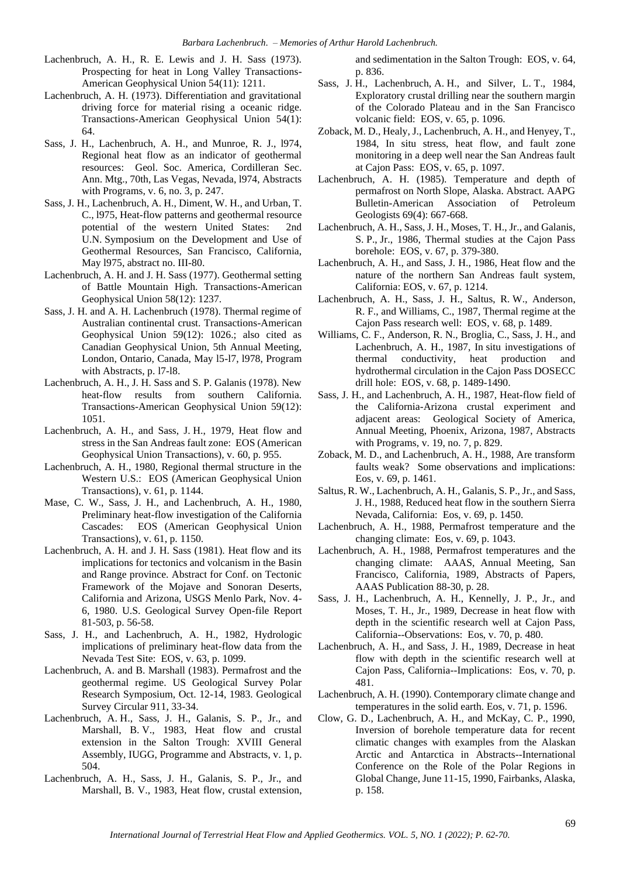- Lachenbruch, A. H., R. E. Lewis and J. H. Sass (1973). Prospecting for heat in Long Valley Transactions-American Geophysical Union 54(11): 1211.
- Lachenbruch, A. H. (1973). Differentiation and gravitational driving force for material rising a oceanic ridge. Transactions-American Geophysical Union 54(1): 64.
- Sass, J. H., Lachenbruch, A. H., and Munroe, R. J., l974, Regional heat flow as an indicator of geothermal resources: Geol. Soc. America, Cordilleran Sec. Ann. Mtg., 70th, Las Vegas, Nevada, l974, Abstracts with Programs, v. 6, no. 3, p. 247.
- Sass, J. H., Lachenbruch, A. H., Diment, W. H., and Urban, T. C., l975, Heat-flow patterns and geothermal resource potential of the western United States: 2nd U.N. Symposium on the Development and Use of Geothermal Resources, San Francisco, California, May l975, abstract no. III-80.
- Lachenbruch, A. H. and J. H. Sass (1977). Geothermal setting of Battle Mountain High. Transactions-American Geophysical Union 58(12): 1237.
- Sass, J. H. and A. H. Lachenbruch (1978). Thermal regime of Australian continental crust. Transactions-American Geophysical Union 59(12): 1026.; also cited as Canadian Geophysical Union, 5th Annual Meeting, London, Ontario, Canada, May l5-l7, l978, Program with Abstracts, p. l7-l8.
- Lachenbruch, A. H., J. H. Sass and S. P. Galanis (1978). New heat-flow results from southern California. Transactions-American Geophysical Union 59(12): 1051.
- Lachenbruch, A. H., and Sass, J. H., 1979, Heat flow and stress in the San Andreas fault zone: EOS (American Geophysical Union Transactions), v. 60, p. 955.
- Lachenbruch, A. H., 1980, Regional thermal structure in the Western U.S.: EOS (American Geophysical Union Transactions), v. 61, p. 1144.
- Mase, C. W., Sass, J. H., and Lachenbruch, A. H., 1980, Preliminary heat-flow investigation of the California Cascades: EOS (American Geophysical Union Transactions), v. 61, p. 1150.
- Lachenbruch, A. H. and J. H. Sass (1981). Heat flow and its implications for tectonics and volcanism in the Basin and Range province. Abstract for Conf. on Tectonic Framework of the Mojave and Sonoran Deserts, California and Arizona, USGS Menlo Park, Nov. 4- 6, 1980. U.S. Geological Survey Open-file Report 81-503, p. 56-58.
- Sass, J. H., and Lachenbruch, A. H., 1982, Hydrologic implications of preliminary heat-flow data from the Nevada Test Site: EOS, v. 63, p. 1099.
- Lachenbruch, A. and B. Marshall (1983). Permafrost and the geothermal regime. US Geological Survey Polar Research Symposium, Oct. 12-14, 1983. Geological Survey Circular 911, 33-34.
- Lachenbruch, A. H., Sass, J. H., Galanis, S. P., Jr., and Marshall, B. V., 1983, Heat flow and crustal extension in the Salton Trough: XVIII General Assembly, IUGG, Programme and Abstracts, v. 1, p. 504.
- Lachenbruch, A. H., Sass, J. H., Galanis, S. P., Jr., and Marshall, B. V., 1983, Heat flow, crustal extension,

and sedimentation in the Salton Trough: EOS, v. 64, p. 836.

- Sass, J. H., Lachenbruch, A. H., and Silver, L. T., 1984, Exploratory crustal drilling near the southern margin of the Colorado Plateau and in the San Francisco volcanic field: EOS, v. 65, p. 1096.
- Zoback, M. D., Healy, J., Lachenbruch, A. H., and Henyey, T., 1984, In situ stress, heat flow, and fault zone monitoring in a deep well near the San Andreas fault at Cajon Pass: EOS, v. 65, p. 1097.
- Lachenbruch, A. H. (1985). Temperature and depth of permafrost on North Slope, Alaska. Abstract. AAPG Bulletin-American Association of Petroleum Geologists 69(4): 667-668.
- Lachenbruch, A. H., Sass, J. H., Moses, T. H., Jr., and Galanis, S. P., Jr., 1986, Thermal studies at the Cajon Pass borehole: EOS, v. 67, p. 379-380.
- Lachenbruch, A. H., and Sass, J. H., 1986, Heat flow and the nature of the northern San Andreas fault system, California: EOS, v. 67, p. 1214.
- Lachenbruch, A. H., Sass, J. H., Saltus, R. W., Anderson, R. F., and Williams, C., 1987, Thermal regime at the Cajon Pass research well: EOS, v. 68, p. 1489.
- Williams, C. F., Anderson, R. N., Broglia, C., Sass, J. H., and Lachenbruch, A. H., 1987, In situ investigations of thermal conductivity, heat production and hydrothermal circulation in the Cajon Pass DOSECC drill hole: EOS, v. 68, p. 1489-1490.
- Sass, J. H., and Lachenbruch, A. H., 1987, Heat-flow field of the California-Arizona crustal experiment and adjacent areas: Geological Society of America, Annual Meeting, Phoenix, Arizona, 1987, Abstracts with Programs, v. 19, no. 7, p. 829.
- Zoback, M. D., and Lachenbruch, A. H., 1988, Are transform faults weak? Some observations and implications: Eos, v. 69, p. 1461.
- Saltus, R. W., Lachenbruch, A. H., Galanis, S. P., Jr., and Sass, J. H., 1988, Reduced heat flow in the southern Sierra Nevada, California: Eos, v. 69, p. 1450.
- Lachenbruch, A. H., 1988, Permafrost temperature and the changing climate: Eos, v. 69, p. 1043.
- Lachenbruch, A. H., 1988, Permafrost temperatures and the changing climate: AAAS, Annual Meeting, San Francisco, California, 1989, Abstracts of Papers, AAAS Publication 88-30, p. 28.
- Sass, J. H., Lachenbruch, A. H., Kennelly, J. P., Jr., and Moses, T. H., Jr., 1989, Decrease in heat flow with depth in the scientific research well at Cajon Pass, California--Observations: Eos, v. 70, p. 480.
- Lachenbruch, A. H., and Sass, J. H., 1989, Decrease in heat flow with depth in the scientific research well at Cajon Pass, California--Implications: Eos, v. 70, p. 481.
- Lachenbruch, A. H. (1990). Contemporary climate change and temperatures in the solid earth. Eos, v. 71, p. 1596.
- Clow, G. D., Lachenbruch, A. H., and McKay, C. P., 1990, Inversion of borehole temperature data for recent climatic changes with examples from the Alaskan Arctic and Antarctica in Abstracts--International Conference on the Role of the Polar Regions in Global Change, June 11-15, 1990, Fairbanks, Alaska, p. 158.